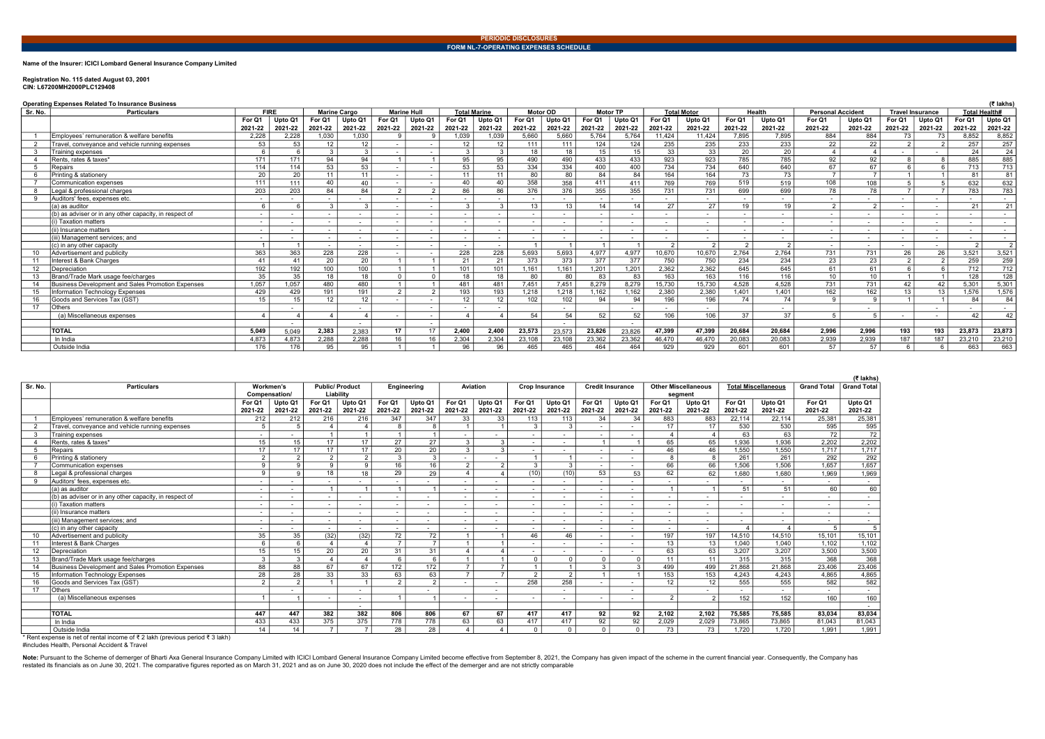### Name of the Insurer: ICICI Lombard General Insurance Company Limited

# Registration No. 115 dated August 03, 2001 CIN: L67200MH2000PLC129408

Note: Pursuant to the Scheme of demerger of Bharti Axa General Insurance Company Limited with ICICI Lombard General Insurance Company Limited become effective from September 8, 2021, the Company has given impact of the sch restated its financials as on June 30, 2021. The comparative figures reported as on March 31, 2021 and as on June 30, 2020 does not include the effect of the demerger and are not strictly comparable

|         | (₹ lakhs<br><b>Operating Expenses Related To Insurance Business</b> |                          |         |                          |                          |                          |                          |                     |              |                          |         |         |                          |                          |                    |                          |                          |                          |                          |                         |         |                          |                 |
|---------|---------------------------------------------------------------------|--------------------------|---------|--------------------------|--------------------------|--------------------------|--------------------------|---------------------|--------------|--------------------------|---------|---------|--------------------------|--------------------------|--------------------|--------------------------|--------------------------|--------------------------|--------------------------|-------------------------|---------|--------------------------|-----------------|
| Sr. No. | <b>Particulars</b>                                                  | <b>FIRE</b>              |         | <b>Marine Cargo</b>      |                          | <b>Marine Hull</b>       |                          | <b>Total Marine</b> |              | <b>Motor OD</b>          |         |         | <b>Motor TP</b>          |                          | <b>Total Motor</b> |                          | <b>Health</b>            | <b>Personal Accident</b> |                          | <b>Travel Insurance</b> |         | <b>Total Health#</b>     |                 |
|         |                                                                     | For Q1                   | Upto Q1 | For Q1                   | Upto Q1                  | For Q1                   | Upto Q1                  | For Q1              | Upto Q1      | For Q1                   | Upto Q1 | For Q1  | Upto Q1                  | For Q1                   | Upto Q1            | For Q1                   | Upto Q1                  | For Q1                   | Upto Q1                  | For Q1                  | Upto Q1 | For Q1                   | Upto Q1         |
|         |                                                                     | 2021-22                  | 2021-22 | 2021-22                  | 2021-22                  | 2021-22                  | 2021-22                  | 2021-22             | 2021-22      | 2021-22                  | 2021-22 | 2021-22 | 2021-22                  | 2021-22                  | 2021-22            | 2021-22                  | 2021-22                  | 2021-22                  | 2021-22                  | 2021-22                 | 2021-22 | 2021-22                  | 2021-22         |
|         | Employees' remuneration & welfare benefits                          | 2,228                    | 2.228   | 1,030                    | 1,030                    |                          |                          | 1,039               | 1,039        | 5,660                    | 5,660   | 5,764   | 5.764                    | 11,424                   | 11,424             | 7,895                    | 7,895                    | 884                      | 884                      | 73                      | 73      | 8,852                    | 8,852           |
|         | Travel, conveyance and vehicle running expenses                     | 53                       | -53     | 12                       | 12                       |                          |                          | $12 \overline{ }$   | 12           | 111                      | 111     | 124     | 124                      | 235                      | 235                | 233                      | 233                      | 22                       | 22                       |                         |         | 257                      | 257             |
|         | Training expenses                                                   | 6                        |         | $\mathbf{3}$             |                          |                          |                          | $\mathbf{3}$        | $\mathbf{3}$ | 18                       | 18      | 15      | 15                       | 33                       | 33                 | 20                       | $\overline{20}$          |                          |                          |                         |         | 24                       | $\overline{24}$ |
|         | Rents, rates & taxes*                                               | 171                      | 171     | 94                       | 94                       |                          |                          | 95                  | 95           | 490                      | 490     | 433     | 433                      | 923                      | 923                | 785                      | 785                      | 92                       | 92                       |                         |         | 885                      | 885             |
|         | Repairs                                                             | 114                      | 114     | 53                       | 53                       |                          |                          | 53                  | 53           | 334                      | 334     | 400     | 400                      | 734                      | 734                | 640                      | 640                      | 67                       | 67                       |                         |         | 713                      | 713             |
|         | Printing & stationery                                               | $\overline{20}$          | 20      | 11                       | 11                       | $\overline{\phantom{a}}$ | $\overline{\phantom{0}}$ | 11                  | 11           | 80                       | 80      | 84      | 84                       | 164                      | 164                | 73                       | $\overline{73}$          | $\overline{7}$           | $\overline{7}$           |                         |         | 81                       | 81              |
|         | Communication expenses                                              | 111                      | 111     | 40                       | 40                       |                          |                          | 40                  | 40           | 358                      | 358     | 411     | 411                      | 769                      | 769                | 519                      | 519                      | 108                      | 108                      |                         |         | 632                      | 632             |
|         | Legal & professional charges                                        | 203                      | 203     | 84                       | 84                       | 2                        | $\Omega$                 | 86                  | 86           | 376                      | 376     | 355     | 355                      | 731                      | 731                | 699                      | 699                      | 78                       | $\overline{78}$          |                         |         | 783                      | 783             |
|         | Auditors' fees, expenses etc.                                       | $\sim$                   |         |                          |                          |                          |                          |                     |              | $\overline{\phantom{a}}$ |         |         | $\overline{\phantom{a}}$ |                          |                    | $\sim$                   | $\sim$                   |                          |                          | $\sim$                  |         | $\overline{\phantom{0}}$ | $\sim 100$      |
|         | (a) as auditor                                                      | <b>6</b>                 |         | $\mathcal{A}$            |                          |                          |                          | 3                   |              | 13                       | 13      | 14      | 14                       | 27                       | 27                 | 19                       | 19                       | $\Omega$                 |                          | $\sim$                  |         | 21                       | 21              |
|         | (b) as adviser or in any other capacity, in respect of              | $\sim$                   | $\sim$  |                          | $\overline{\phantom{a}}$ |                          |                          |                     |              | $\overline{\phantom{a}}$ | $\sim$  |         | $\overline{\phantom{a}}$ | $\overline{\phantom{a}}$ |                    | $\sim$                   | $\sim$                   | $\sim$                   | $\overline{\phantom{a}}$ | $\sim$                  |         | $\sim$                   | $\sim$          |
|         | (i) Taxation matters                                                | $\overline{\phantom{0}}$ |         |                          | $\overline{\phantom{a}}$ | $\overline{\phantom{a}}$ |                          | $\sim$              |              | $\overline{\phantom{a}}$ |         |         | $\blacksquare$           | $\overline{\phantom{0}}$ | $\sim$             | $\sim$                   | $\sim$                   | $\overline{\phantom{a}}$ | $\overline{\phantom{a}}$ | $\sim$                  |         | $\overline{\phantom{0}}$ | $\sim$          |
|         | (ii) Insurance matters                                              | $\overline{\phantom{a}}$ |         |                          | $\overline{\phantom{a}}$ | $\overline{\phantom{a}}$ |                          | $\sim$              |              | $\overline{\phantom{a}}$ |         |         | $\overline{\phantom{a}}$ | $\overline{\phantom{a}}$ | $\sim$             | $\overline{\phantom{a}}$ | $\sim$                   | $\overline{\phantom{a}}$ | $\overline{\phantom{a}}$ | $\sim$                  |         | $\overline{\phantom{0}}$ | $\sim$          |
|         | (iii) Management services: and                                      | $\overline{\phantom{a}}$ | $\sim$  |                          | $\overline{\phantom{a}}$ |                          |                          | $\sim$              |              | $\overline{\phantom{a}}$ |         |         | $\overline{\phantom{a}}$ | $\overline{\phantom{a}}$ |                    | $\overline{\phantom{a}}$ | $\overline{\phantom{a}}$ | $\overline{\phantom{a}}$ | $\overline{\phantom{a}}$ | $\sim$                  |         | $\sim$                   | $\sim$          |
|         | (c) in any other capacity                                           |                          |         | $\overline{\phantom{a}}$ | $\overline{\phantom{a}}$ | $\overline{\phantom{a}}$ |                          | $\sim$              |              |                          |         |         |                          |                          |                    | $\overline{2}$           | ົ                        | $\overline{\phantom{a}}$ | $\overline{\phantom{a}}$ | $\sim$                  |         |                          | 2               |
|         | Advertisement and publicity                                         | 363                      | 363     | 228                      | 228                      |                          |                          | 228                 | 228          | 5,693                    | 5,693   | 4,977   | 4.977                    | 10,670                   | 10.670             | 2,764                    | 2.764                    | 731                      | 731                      | 26                      | 26      | 3,521                    | 3,521           |
|         | nterest & Bank Charges                                              | 41                       | 41      | 20                       | 20                       |                          |                          | 21                  | 21           | 373                      | 373     | 377     | 377                      | 750                      | 750                | 234                      | 234                      | 23                       | $\overline{23}$          | $\Omega$                |         | 259                      | 259             |
| 12      | Depreciation                                                        | 192                      | 192     | 100                      | 100                      |                          |                          | 101                 | 101          | 1,161                    | ,161    | 1,201   | 1,201                    | 2,362                    | 2,362              | 645                      | 645                      | 61                       | 61                       |                         |         | 712                      | 712             |
|         | Brand/Trade Mark usage fee/charges                                  | $\overline{35}$          | 35      | 18                       | 18                       | $\Omega$                 |                          | 18                  | 18           | 80                       | 80      | 83      | 83                       | 163                      | 163                | 116                      | 116                      | 10                       | 10                       |                         |         | 128                      | 128             |
|         | <b>Business Development and Sales Promotion Expenses</b>            | 1,057                    | 1,057   | 480                      | 480                      |                          |                          | 481                 | 481          | 7.451                    | 7,451   | 8.279   | 8.279                    | 15,730                   | 15,730             | 4.528                    | 4.528                    | 731                      | 731                      | 42                      | 42      | 5,301                    | 5,301           |
|         | <b>Information Technology Expenses</b>                              | 429                      | 429     | 191                      | 191                      | $\overline{2}$           |                          | 193                 | 193          | 1.218                    | 1,218   | 1,162   | 162                      | 2,380                    | 2,380              | 1,401                    | 1.401                    | 162                      | 162                      | 13                      | 13      | 1,576                    | 1,576           |
|         | Goods and Services Tax (GST)                                        | 15                       | 15      | 12                       | 12                       |                          |                          | 12                  | 12           | 102                      | 102     | 94      | 94                       | 196                      | 196                | 74                       | 74                       | $\alpha$                 |                          |                         |         | 84                       | 84              |
| 17      | Others                                                              |                          | $\sim$  |                          |                          |                          |                          |                     |              |                          |         |         | $\overline{\phantom{a}}$ |                          |                    |                          | $\overline{\phantom{0}}$ |                          |                          |                         |         | -                        | $\sim$          |
|         | (a) Miscellaneous expenses                                          |                          |         |                          |                          |                          |                          |                     |              | 54                       | 54      | 52      | 52                       | 106                      | 106                | 37                       | 37                       |                          |                          |                         |         | 42                       | 42              |
|         |                                                                     |                          | $\sim$  |                          | $\overline{\phantom{a}}$ |                          |                          |                     |              |                          |         |         |                          |                          |                    |                          |                          |                          |                          |                         |         |                          |                 |
|         | <b>TOTAL</b>                                                        | 5,049                    | 5,049   | 2,383                    | 2,383                    | 17                       | 17                       | 2,400               | 2,400        | 23,573                   | 23,573  | 23,826  | 23,826                   | 47,399                   | 47,399             | 20,684                   | 20.684                   | 2,996                    | 2,996                    | 193                     | 193     | 23,873                   | 23,873          |
|         | In India                                                            | 4.873                    | 4.873   | 2.288                    | 2,288                    | 16                       |                          | 2,304               | 2,304        | 23,108                   | 23,108  | 23,362  | 23,362                   | 46.470                   | 46,470             | 20,083                   | 20.083                   | 2,939                    | 2,939                    | 187                     | 187     | 23,210                   | 23,210          |
|         | Outside India                                                       | 176                      | 176     | 95                       | 95                       |                          |                          | 96                  | 96           | 465                      | 465     | 464     | 464                      | 929                      | 929                | 601                      | 601                      | 57                       | 57                       |                         |         | 663                      | 663             |

|              |                                                          |                          |                          |                          |                          |                          |                          |                          |                          |                          |                          |                          |                          |                          |                            |                          |                            |                    | (₹ lakhs)          |
|--------------|----------------------------------------------------------|--------------------------|--------------------------|--------------------------|--------------------------|--------------------------|--------------------------|--------------------------|--------------------------|--------------------------|--------------------------|--------------------------|--------------------------|--------------------------|----------------------------|--------------------------|----------------------------|--------------------|--------------------|
| Sr. No.      | <b>Particulars</b>                                       | Workmen's                |                          |                          | <b>Public/Product</b>    |                          | Engineering              | Aviation                 |                          |                          | <b>Crop Insurance</b>    | <b>Credit Insurance</b>  |                          |                          | <b>Other Miscellaneous</b> |                          | <b>Total Miscellaneous</b> | <b>Grand Total</b> | <b>Grand Total</b> |
|              |                                                          |                          | Compensation/            |                          | Liability                |                          |                          |                          |                          |                          |                          |                          |                          |                          | segment                    |                          |                            |                    |                    |
|              |                                                          | For Q1                   | Upto Q1                  | For Q1                   | Upto Q1                  | For Q1                   | Upto Q1                  | For Q1                   | Upto Q1                  | For Q1                   | Upto Q1                  | For Q1                   | Upto Q1                  | For Q1                   | Upto Q1                    | For Q1                   | Upto Q1                    | For Q1             | Upto Q1            |
|              |                                                          | 2021-22                  | 2021-22                  | 2021-22                  | 2021-22                  | 2021-22                  | 2021-22                  | 2021-22                  | 2021-22                  | 2021-22                  | 2021-22                  | 2021-22                  | 2021-22                  | 2021-22                  | 2021-22                    | 2021-22                  | 2021-22                    | 2021-22            | 2021-22            |
|              | Employees' remuneration & welfare benefits               | 212                      | 212                      | 216                      | 216                      | 347                      | 347                      | 33                       | 33                       | 113                      | 113                      | 34                       | 34                       | 883                      | 883                        | 22.114                   | 22.114                     | 25.381             | 25,381             |
| 2            | Travel, conveyance and vehicle running expenses          | 5 <sup>5</sup>           | 5                        | 4                        |                          | 8                        | 8                        |                          |                          | $\mathbf{3}$             | $\mathcal{E}$            | $\overline{\phantom{a}}$ | $\sim$                   | 17                       | 17                         | 530                      | 530                        | 595                | 595                |
| $\mathbf{3}$ | Training expenses                                        | $\overline{\phantom{a}}$ |                          |                          |                          |                          |                          |                          |                          | $\overline{\phantom{a}}$ | $\sim$                   | $\overline{\phantom{a}}$ | $\overline{\phantom{a}}$ | $\boldsymbol{\Delta}$    |                            | 63                       | 63                         | 72                 | 72                 |
|              | Rents. rates & taxes'                                    | 15                       | 15                       | 17                       | 17                       | 27                       | 27                       | $\mathcal{R}$            | $\sim$                   | $\sim$                   | $\sim$                   |                          |                          | 65                       | 65                         | 1.936                    | 1.936                      | 2.202              | 2,202              |
| 5            | Repairs                                                  | 17                       | 17                       | 17                       | 17                       | 20                       | 20                       |                          |                          | $\overline{\phantom{0}}$ | $\overline{\phantom{a}}$ | $\overline{\phantom{a}}$ | $\overline{\phantom{0}}$ | 46                       | 46                         | 1,550                    | 1,550                      | 1,717              | 1,717              |
|              | Printing & stationery                                    | 2                        | 2                        | 2                        | 2 <sup>1</sup>           | $\mathbf{3}$             | $\mathcal{S}$            | $\sim$                   | $\sim$                   |                          |                          | $\sim$                   | $\sim$                   | 8                        | 8                          | $\overline{261}$         | 261                        | 292                | 292                |
|              | <b>Communication expenses</b>                            | 9                        | 9                        | 9                        | $\mathbf{Q}$             | 16                       | 16                       | 2                        | $\sim$                   | 3                        | $\mathbf{R}$             | $\overline{\phantom{a}}$ | $\sim$                   | 66                       | 66                         | 1,506                    | 1.506                      | 1,657              | 1,657              |
|              | Legal & professional charges                             | 9                        | 9                        | 18                       | 18                       | 29                       | 29                       |                          |                          | (10)                     | (10)                     | 53                       | 53                       | 62                       | 62                         | 1,680                    | 1,680                      | 1,969              | 1,969              |
| 9            | Auditors' fees, expenses etc.                            | $\overline{\phantom{0}}$ | $\sim$                   | $\sim$                   | $\sim$                   |                          | $\sim$                   |                          | $\sim$                   | $\overline{\phantom{a}}$ | $\sim$                   | $\overline{\phantom{a}}$ | $\sim$                   | $\sim$                   | $\sim$                     | $\overline{\phantom{0}}$ | $\sim$                     | $\sim$             | $\sim$             |
|              | (a) as auditor                                           |                          |                          |                          |                          |                          |                          |                          | $\sim$                   | $\overline{\phantom{a}}$ | $\overline{\phantom{a}}$ | $\overline{\phantom{a}}$ | $\sim$                   |                          |                            | 51                       | 51                         | 60                 | 60                 |
|              | (b) as adviser or in any other capacity, in respect of   | $\sim$                   |                          | $\overline{\phantom{0}}$ | $\overline{\phantom{a}}$ | $\overline{\phantom{a}}$ | $\overline{\phantom{a}}$ | $\overline{\phantom{a}}$ | $\sim$                   | $\overline{\phantom{a}}$ | $\sim$                   | $\overline{\phantom{a}}$ | $\sim$                   | $\sim$                   | $\overline{\phantom{a}}$   |                          | $\overline{\phantom{a}}$   | $\sim$             | $\sim$             |
|              | (i) Taxation matters                                     |                          | $\overline{\phantom{0}}$ | $\overline{\phantom{0}}$ | $\overline{\phantom{a}}$ |                          | $\overline{\phantom{a}}$ | $\overline{\phantom{a}}$ | $\sim$                   | $\overline{\phantom{a}}$ | $\sim$                   | $\overline{\phantom{a}}$ | $\overline{a}$           | $\overline{\phantom{a}}$ | $\overline{\phantom{a}}$   |                          | $\sim$                     | $\sim$             | $\sim$             |
|              | (ii) Insurance matters                                   | $\overline{\phantom{a}}$ | $\sim$                   | $\overline{\phantom{0}}$ | $\overline{\phantom{a}}$ |                          | $\overline{\phantom{a}}$ |                          | $\sim$                   | $\overline{\phantom{0}}$ | $\sim$                   | $\overline{\phantom{a}}$ | $\sim$                   | $\sim$                   | $\overline{\phantom{a}}$   | $\overline{\phantom{0}}$ | $\overline{\phantom{a}}$   | $\sim$             | $\sim$             |
|              | (iii) Management services: and                           | $\sim$                   | $\overline{\phantom{0}}$ | $\overline{\phantom{0}}$ | $\overline{\phantom{a}}$ | $\overline{\phantom{a}}$ | $\overline{\phantom{a}}$ |                          | $\sim$                   | $\overline{\phantom{a}}$ | $\sim$                   | $\overline{\phantom{a}}$ | $\sim$                   | $\sim$                   | $\sim$                     | ٠                        | $\sim$                     | $\sim$             | $\sim$             |
|              | (c) in any other capacity                                | $\overline{\phantom{0}}$ |                          | $\sim$                   | $\overline{\phantom{a}}$ | $\overline{\phantom{a}}$ | $\overline{\phantom{a}}$ | $\overline{\phantom{0}}$ | $\overline{\phantom{0}}$ | $\sim$                   | $\sim$                   | $\overline{\phantom{a}}$ | $\sim$                   | $\sim$                   | $\sim$                     |                          |                            |                    | 5                  |
| 10           | Advertisement and publicity                              | 35                       | 35                       | (32)                     | (32)                     | 72                       | 72                       |                          |                          | 46                       | 46                       | $\overline{\phantom{a}}$ | $\sim$                   | 197                      | 197                        | 14,510                   | 14.510                     | 15.101             | 15,101             |
| 11           | Interest & Bank Charges                                  | 6                        | 6                        | $\boldsymbol{\Delta}$    |                          | $\overline{ }$           | $\overline{ }$           |                          |                          | $\overline{\phantom{a}}$ | $\overline{\phantom{a}}$ | $\overline{\phantom{a}}$ | $\overline{\phantom{a}}$ | 13                       | 13                         | 1.040                    | 1.040                      | 1.102              | 1,102              |
| 12           | Depreciation                                             | 15                       | 15                       | 20                       | 20 <sup>1</sup>          | 31                       | 31                       |                          |                          | $\overline{\phantom{a}}$ | $\sim$                   | $\overline{\phantom{a}}$ | $\overline{\phantom{a}}$ | 63                       | 63                         | 3,207                    | 3,207                      | 3,500              | 3,500              |
| 13           | Brand/Trade Mark usage fee/charges                       | 3                        | 3                        | 4                        |                          |                          | $6^{\circ}$              |                          |                          | $\Omega$                 |                          | $\Omega$                 |                          | 11                       | 11                         | 315                      | 315                        | 368                | 368                |
| 14           | <b>Business Development and Sales Promotion Expenses</b> | 88                       | 88                       | 67                       | 67                       | 172                      | 172                      |                          |                          |                          |                          | $\mathbf{3}$             | $\mathbf{3}$             | 499                      | 499                        | 21,868                   | 21,868                     | 23,406             | 23,406             |
| 15           | Information Technology Expenses                          | $\overline{28}$          | 28                       | 33                       | 33 <sup>°</sup>          | 63                       | 63                       | $\overline{z}$           | $\overline{ }$           | 2                        | 2                        | $\overline{1}$           |                          | 153                      | 153                        | 4.243                    | 4.243                      | 4,865              | 4,865              |
| 16           | Goods and Services Tax (GST)                             | $\mathcal{P}$            | 2                        |                          |                          | 2                        | 2                        |                          | $\sim$                   | 258                      | 258                      | $\overline{\phantom{a}}$ | $\overline{a}$           | 12                       | 12                         | 555                      | 555                        | 582                | 582                |
| 17           | Others                                                   |                          |                          |                          | $\overline{\phantom{a}}$ |                          | $\overline{\phantom{a}}$ |                          | $\sim$                   |                          | $\overline{\phantom{a}}$ |                          | $\sim$                   |                          | $\sim$                     |                          | $\overline{\phantom{a}}$   | $\sim$             | $\sim$             |
|              | (a) Miscellaneous expenses                               |                          |                          |                          | $\overline{\phantom{a}}$ |                          |                          |                          | $\sim$                   | $\overline{\phantom{a}}$ | $\sim$                   | $\overline{\phantom{a}}$ | $\overline{a}$           | $\overline{2}$           | $\mathcal{P}$              | 152                      | 152                        | 160                | 160                |
|              |                                                          |                          |                          |                          | $\overline{\phantom{a}}$ |                          |                          |                          |                          |                          |                          |                          |                          |                          |                            |                          |                            |                    | $\sim$             |
|              | <b>TOTAL</b>                                             | 447                      | 447                      | 382                      | 382                      | 806                      | 806                      | 67                       | 67                       | 417                      | 417                      | 92                       | 92                       | 2,102                    | 2,102                      | 75,585                   | 75,585                     | 83,034             | 83,034             |
|              | In India                                                 | 433                      | 433                      | 375                      | 375                      | 778                      | 778                      | 63                       | 63                       | 417                      | 417                      | 92                       | 92                       | 2,029                    | 2,029                      | 73,865                   | 73,865                     | 81,043             | 81,043             |
|              | Outside India                                            | 14                       | 14                       | $\overline{7}$           | $\overline{7}$           | 28                       | 28                       |                          |                          | $\Omega$                 |                          | $\Omega$                 | $\Omega$                 | 73                       | 73                         | 1,720                    | 1.720                      | 1,991              | 1,991              |

\* Rent expense is net of rental income of ₹ 2 lakh (previous period ₹ 3 lakh)

#includes Health, Personal Accident & Travel